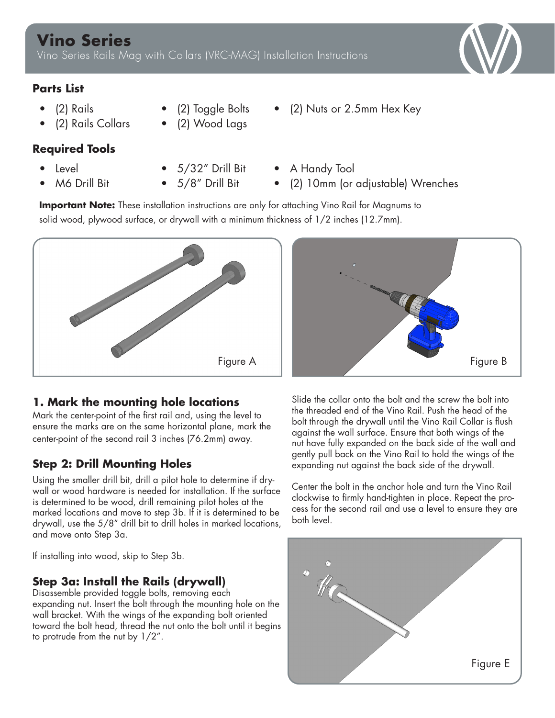### **Parts List**

- (2) Rails
- (2) Rails Collars

## **Required Tools**

- Level
- M6 Drill Bit
- 5/32" Drill Bit

• (2) Toggle Bolts • (2) Wood Lags

- 5/8" Drill Bit
- A Handy Tool
- (2) 10mm (or adjustable) Wrenches

• (2) Nuts or 2.5mm Hex Key

**Important Note:** These installation instructions are only for attaching Vino Rail for Magnums to solid wood, plywood surface, or drywall with a minimum thickness of 1/2 inches (12.7mm).



## **1. Mark the mounting hole locations**

Mark the center-point of the first rail and, using the level to ensure the marks are on the same horizontal plane, mark the center-point of the second rail 3 inches (76.2mm) away.

## **Step 2: Drill Mounting Holes**

Using the smaller drill bit, drill a pilot hole to determine if drywall or wood hardware is needed for installation. If the surface is determined to be wood, drill remaining pilot holes at the marked locations and move to step 3b. If it is determined to be drywall, use the 5/8" drill bit to drill holes in marked locations, and move onto Step 3a.

If installing into wood, skip to Step 3b.

## **Step 3a: Install the Rails (drywall)**

Disassemble provided toggle bolts, removing each expanding nut. Insert the bolt through the mounting hole on the wall bracket. With the wings of the expanding bolt oriented toward the bolt head, thread the nut onto the bolt until it begins to protrude from the nut by 1/2".



Slide the collar onto the bolt and the screw the bolt into the threaded end of the Vino Rail. Push the head of the bolt through the drywall until the Vino Rail Collar is flush against the wall surface. Ensure that both wings of the nut have fully expanded on the back side of the wall and gently pull back on the Vino Rail to hold the wings of the expanding nut against the back side of the drywall.

Center the bolt in the anchor hole and turn the Vino Rail clockwise to firmly hand-tighten in place. Repeat the process for the second rail and use a level to ensure they are both level.